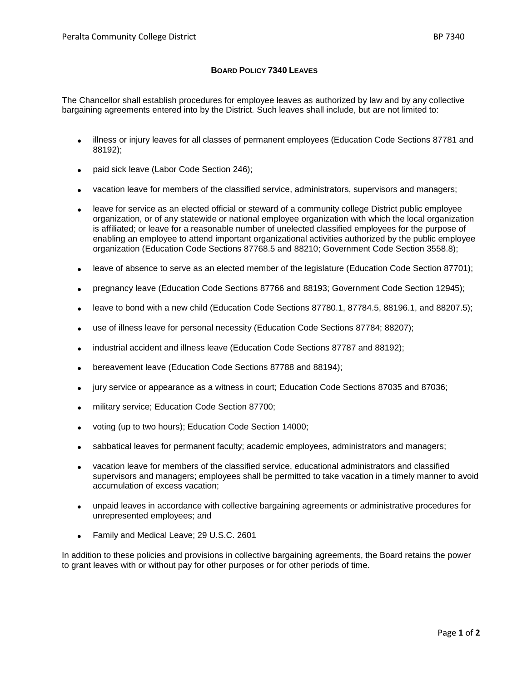## **BOARD POLICY 7340 LEAVES**

The Chancellor shall establish procedures for employee leaves as authorized by law and by any collective bargaining agreements entered into by the District*.* Such leaves shall include, but are not limited to:

- illness or injury leaves for all classes of permanent employees (Education Code Sections 87781 and 88192);
- paid sick leave (Labor Code Section 246);
- vacation leave for members of the classified service, administrators, supervisors and managers;
- leave for service as an elected official or steward of a community college District public employee organization, or of any statewide or national employee organization with which the local organization is affiliated; or leave for a reasonable number of unelected classified employees for the purpose of enabling an employee to attend important organizational activities authorized by the public employee organization (Education Code Sections 87768.5 and 88210; Government Code Section 3558.8);
- leave of absence to serve as an elected member of the legislature (Education Code Section 87701);
- pregnancy leave (Education Code Sections 87766 and 88193; Government Code Section 12945);
- leave to bond with a new child (Education Code Sections 87780.1, 87784.5, 88196.1, and 88207.5);
- use of illness leave for personal necessity (Education Code Sections 87784; 88207);
- industrial accident and illness leave (Education Code Sections 87787 and 88192);
- bereavement leave (Education Code Sections 87788 and 88194);
- jury service or appearance as a witness in court; Education Code Sections 87035 and 87036;
- military service; Education Code Section 87700;
- voting (up to two hours); Education Code Section 14000;
- sabbatical leaves for permanent faculty; academic employees, administrators and managers;
- vacation leave for members of the classified service, educational administrators and classified supervisors and managers; employees shall be permitted to take vacation in a timely manner to avoid accumulation of excess vacation;
- unpaid leaves in accordance with collective bargaining agreements or administrative procedures for unrepresented employees; and
- Family and Medical Leave; 29 U.S.C. 2601

In addition to these policies and provisions in collective bargaining agreements, the Board retains the power to grant leaves with or without pay for other purposes or for other periods of time.